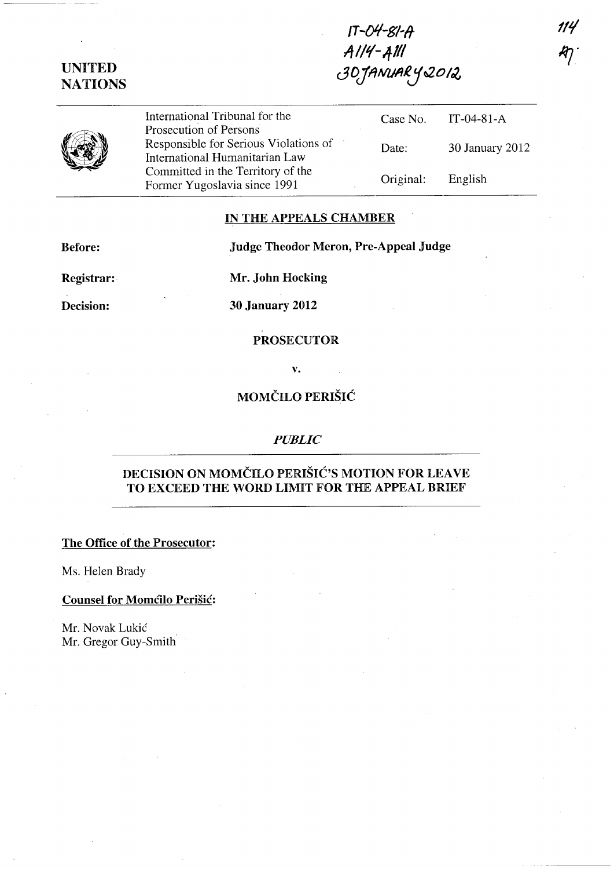UNITED **NATIONS** 

 $IT - O4-S1-A$  $A1/4-AM$ 30JANUARY2012

International Tribunal for the Prosecution of Persons Responsible for Serious Violations of International Humanitarian Law Committed in the Territory of the Former Yugoslavia since 1991 Case No. IT-04-81-A Date: 30 January 2012 Original: English

### IN THE APPEALS CHAMBER

Before: Judge Theodor Meron, Pre-Appeal Judge

Registrar: Mr. John Hocking

Decision: 30 January 2012

## PROSECUTOR

v.

# MOMCILO PERISIC

#### *PUBLIC*

# DECISION ON MOMČILO PERIŠIĆ'S MOTION FOR LEAVE TO EXCEED THE WORD LIMIT FOR THE APPEAL BRIEF

The Office of the Prosecutor:

Ms. Helen Brady

### Counsel for Momcilo Perišic:

Mr. Novak Lukic Mr. Gregor Guy-Smith

114  $\mathcal{H}^{\mathcal{P}}_{\mathcal{P}}$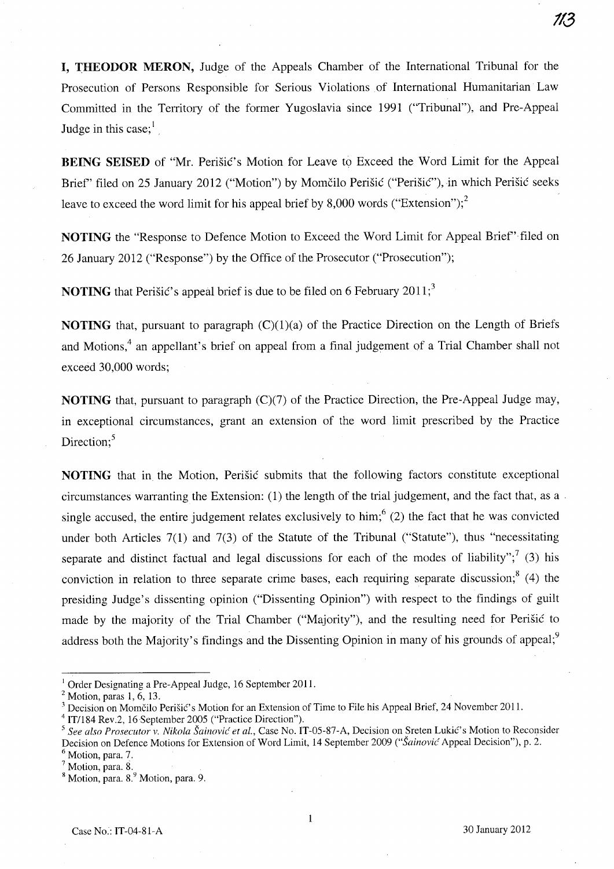**113** 

**I, THEODOR MERON,** Judge of the Appeals Chamber of the International Tribunal for the Prosecution of Persons Responsible for Serious Violations of International Humanitarian Law Committed in the Territory of the former Yugoslavia since 1991 ("Tribunal"), and Pre-Appeal Judge in this case; $<sup>1</sup>$ </sup>

**BEING SEISED** of "Mr. Perišić's Motion for Leave to Exceed the Word Limit for the Appeal Brief" filed on 25 January 2012 ("Motion") by Momčilo Perišić ("Perišić"), in which Perišić seeks leave to exceed the word limit for his appeal brief by 8,000 words ("Extension");<sup>2</sup>

**NOTING** the "Response to Defence Motion to Exceed the Word Limit for Appeal Brief" filed on 26 January 2012 ("Response") by the Office of the Prosecutor ("Prosecution");

**NOTING** that Perisic's appeal brief is due to be filed on 6 February 2011;<sup>3</sup>

**NOTING** that, pursuant to paragraph  $(C)(1)(a)$  of the Practice Direction on the Length of Briefs and Motions,<sup>4</sup> an appellant's brief on appeal from a final judgement of a Trial Chamber shall not exceed 30,000 words;

**NOTING** that, pursuant to paragraph (C)(7) of the Practice Direction, the Pre-Appeal Judge may, in exceptional circumstances, grant an extension of the word limit prescribed by the Practice Direction;<sup>5</sup>

**NOTING** that in the Motion, Perisic submits that the following factors constitute exceptional circumstances warranting the Extension: (1) the length of the trial judgement, and the fact that, as a . single accused, the entire judgement relates exclusively to him;<sup>6</sup> (2) the fact that he was convicted under both Articles 7(1) and 7(3) of the Statute of the Tribunal ("Statute"), thus "necessitating separate and distinct factual and legal discussions for each of the modes of liability";<sup>7</sup> (3) his conviction in relation to three separate crime bases, each requiring separate discussion;  $(4)$  the presiding Judge's dissenting opinion ("Dissenting Opinion") with respect to the findings of guilt made by the majority of the Trial Chamber ("Majority"), and the resulting need for Perisic to address both the Majority's findings and the Dissenting Opinion in many of his grounds of appeal;<sup>9</sup>

<sup>&</sup>lt;sup>1</sup> Order Designating a Pre-Appeal Judge, 16 September 2011.

 $2$  Motion, paras 1, 6, 13.

<sup>&</sup>lt;sup>3</sup> Decision on Momčilo Perišić's Motion for an Extension of Time to File his Appeal Brief, 24 November 2011.

<sup>&</sup>lt;sup>4</sup> IT/184 Rev.2, 16 September 2005 ("Practice Direction").

*<sup>5</sup> See also Prosecutor* v. *Nikola Sainovic et aI.,* Case No. IT-05-S7-A, Decision on Sreten Lukic's Motion to Reconsider Decision on Defence Motions for Extension of Word Limit, 14 September 2009 ("Šainović Appeal Decision"), p. 2.

 $\frac{6}{7}$  Motion, para. 7.<br> $\frac{7}{7}$  Motion, para. 8.

<sup>&</sup>lt;sup>8</sup> Motion, para. 8.<sup>9</sup> Motion, para. 9.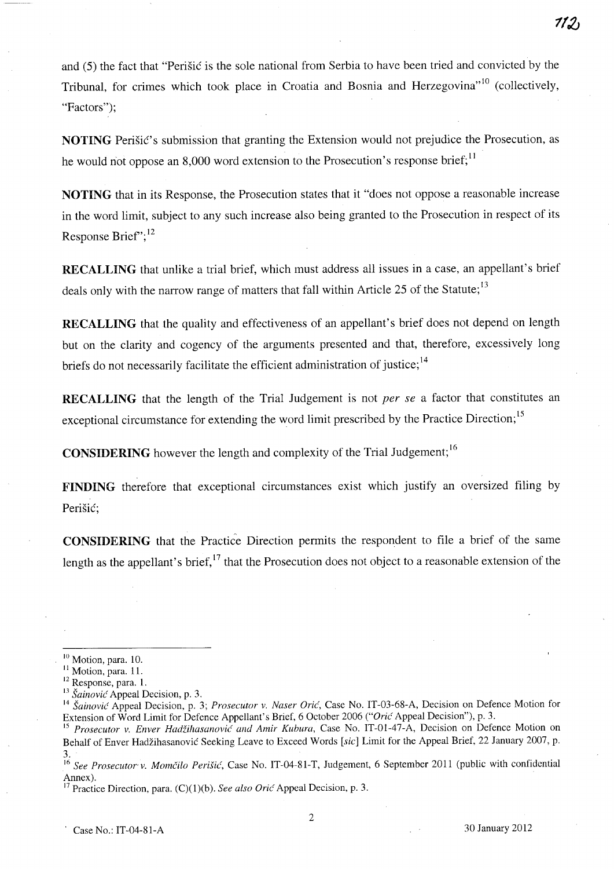and (5) the fact that "Perisic is the sole national from Serbia to have been tried and convicted by the Tribunal, for crimes which took place in Croatia and Bosnia and Herzegovina"<sup>10</sup> (collectively, "Factors":

**NOTING** Perišić's submission that granting the Extension would not prejudice the Prosecution, as he would not oppose an 8,000 word extension to the Prosecution's response brief;  $\frac{11}{11}$ 

**NOTING** that in its Response, the Prosecution states that it "does not oppose a reasonable increase in the word limit, subject to any such increase also being granted to the Prosecution in respect of its Response Brief";<sup>12</sup>

**RECALLING** that unlike a trial brief, which must address all issues in a case, an appellant's brief deals only with the narrow range of matters that fall within Article 25 of the Statute;<sup>13</sup>

**RECALLING** that the quality and effectiveness of an appellant's brief does not depend on length but on the clarity and cogency of the arguments presented and that, therefore, excessively long briefs do not necessarily facilitate the efficient administration of justice;<sup>14</sup>

**RECALLING** that the length of the Trial Judgement is not *per se* a factor that constitutes an exceptional circumstance for extending the word limit prescribed by the Practice Direction;<sup>15</sup>

**CONSIDERING** however the length and complexity of the Trial Judgement; <sup>16</sup>

**FINDING** therefore that exceptional circumstances exist which justify an oversized filing by Perišić;

**CONSIDERING** that the Practice Direction permits the respondent to file a brief of the same length as the appellant's brief, $17$  that the Prosecution does not object to a reasonable extension of the

**1/2J** 

<sup>&</sup>lt;sup>10</sup> Motion, para. 10.

<sup>&</sup>lt;sup>11</sup> Motion, para. 11.

<sup>12</sup> Response, para. 1.

<sup>13</sup>*Sainovic* Appeal Decision, p. 3.

<sup>14</sup>*Sainovic* Appeal Decision, p. 3; *Prosecutor v. Naser Oric,* Case No. IT-03-68-A, Decision on Defence Motion for Extension of Word Limit for Defence Appellant's Brief, 6 October 2006 *("Oric'* Appeal Decision"), p. 3.

<sup>&</sup>lt;sup>15</sup> Prosecutor v. Enver Hadžihasanović and Amir Kubura, Case No. IT-01-47-A, Decision on Defence Motion on Behalf of Enver Hadzihasanovic Seeking Leave to Exceed Words *[sic]* Limit for the Appeal Brief, 22 January 2007, p. 3.

<sup>&</sup>lt;sup>16</sup> See Prosecutor v. Momčilo Perišić, Case No. IT-04-81-T, Judgement, 6 September 2011 (public with confidential Annex).

<sup>17</sup> Practice Direction, para. (C)(I)(b). *See also Oric'* Appeal Decision, p. 3.